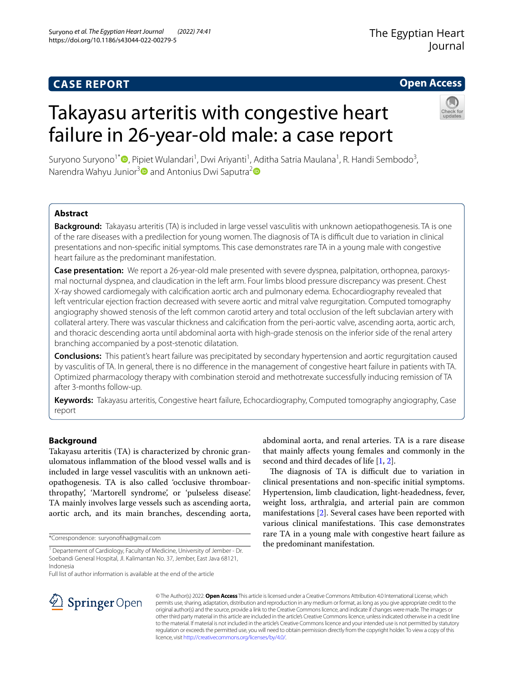# **CASE REPORT**

# **Open Access**

# Takayasu arteritis with congestive heart failure in 26-year-old male: a case report



Suryono Suryono<sup>1\*</sup> (**D**[,](http://orcid.org/0000-0001-9022-9674) Pipiet Wulandari<sup>1</sup>, Dwi Ariyanti<sup>1</sup>, Aditha Satria Maulana<sup>1</sup>, R. Handi Sembodo<sup>3</sup>, Narendra Wahyu Junior<sup>3</sup> and Antonius Dwi Saputra<sup>2</sup>

# **Abstract**

**Background:** Takayasu arteritis (TA) is included in large vessel vasculitis with unknown aetiopathogenesis. TA is one of the rare diseases with a predilection for young women. The diagnosis of TA is difcult due to variation in clinical presentations and non-specifc initial symptoms. This case demonstrates rare TA in a young male with congestive heart failure as the predominant manifestation.

**Case presentation:** We report a 26-year-old male presented with severe dyspnea, palpitation, orthopnea, paroxysmal nocturnal dyspnea, and claudication in the left arm. Four limbs blood pressure discrepancy was present. Chest X-ray showed cardiomegaly with calcifcation aortic arch and pulmonary edema. Echocardiography revealed that left ventricular ejection fraction decreased with severe aortic and mitral valve regurgitation. Computed tomography angiography showed stenosis of the left common carotid artery and total occlusion of the left subclavian artery with collateral artery. There was vascular thickness and calcifcation from the peri-aortic valve, ascending aorta, aortic arch, and thoracic descending aorta until abdominal aorta with high-grade stenosis on the inferior side of the renal artery branching accompanied by a post-stenotic dilatation.

**Conclusions:** This patient's heart failure was precipitated by secondary hypertension and aortic regurgitation caused by vasculitis of TA. In general, there is no diference in the management of congestive heart failure in patients with TA. Optimized pharmacology therapy with combination steroid and methotrexate successfully inducing remission of TA after 3-months follow-up.

**Keywords:** Takayasu arteritis, Congestive heart failure, Echocardiography, Computed tomography angiography, Case report

# **Background**

Takayasu arteritis (TA) is characterized by chronic granulomatous infammation of the blood vessel walls and is included in large vessel vasculitis with an unknown aetiopathogenesis. TA is also called 'occlusive thromboarthropathy', 'Martorell syndrome', or 'pulseless disease'. TA mainly involves large vessels such as ascending aorta, aortic arch, and its main branches, descending aorta,

\*Correspondence: suryonofha@gmail.com

Full list of author information is available at the end of the article

abdominal aorta, and renal arteries. TA is a rare disease that mainly afects young females and commonly in the second and third decades of life [[1,](#page-4-0) [2](#page-4-1)].

The diagnosis of TA is difficult due to variation in clinical presentations and non-specifc initial symptoms. Hypertension, limb claudication, light-headedness, fever, weight loss, arthralgia, and arterial pain are common manifestations [\[2](#page-4-1)]. Several cases have been reported with various clinical manifestations. This case demonstrates rare TA in a young male with congestive heart failure as the predominant manifestation.



© The Author(s) 2022. **Open Access** This article is licensed under a Creative Commons Attribution 4.0 International License, which permits use, sharing, adaptation, distribution and reproduction in any medium or format, as long as you give appropriate credit to the original author(s) and the source, provide a link to the Creative Commons licence, and indicate if changes were made. The images or other third party material in this article are included in the article's Creative Commons licence, unless indicated otherwise in a credit line to the material. If material is not included in the article's Creative Commons licence and your intended use is not permitted by statutory regulation or exceeds the permitted use, you will need to obtain permission directly from the copyright holder. To view a copy of this licence, visit [http://creativecommons.org/licenses/by/4.0/.](http://creativecommons.org/licenses/by/4.0/)

<sup>&</sup>lt;sup>1</sup> Departement of Cardiology, Faculty of Medicine, University of Jember - Dr. Soebandi General Hospital, Jl. Kalimantan No. 37, Jember, East Java 68121, Indonesia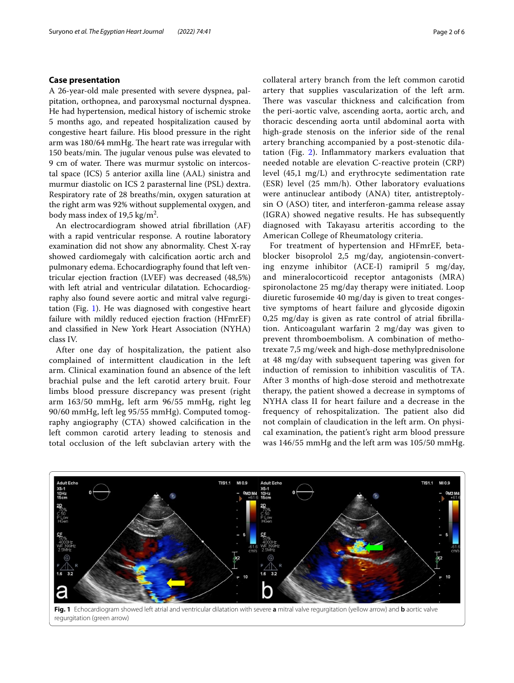## **Case presentation**

A 26-year-old male presented with severe dyspnea, palpitation, orthopnea, and paroxysmal nocturnal dyspnea. He had hypertension, medical history of ischemic stroke 5 months ago, and repeated hospitalization caused by congestive heart failure. His blood pressure in the right arm was  $180/64$  mmHg. The heart rate was irregular with 150 beats/min. The jugular venous pulse was elevated to 9 cm of water. There was murmur systolic on intercostal space (ICS) 5 anterior axilla line (AAL) sinistra and murmur diastolic on ICS 2 parasternal line (PSL) dextra. Respiratory rate of 28 breaths/min, oxygen saturation at the right arm was 92% without supplemental oxygen, and body mass index of 19,5 kg/m<sup>2</sup>.

An electrocardiogram showed atrial fbrillation (AF) with a rapid ventricular response. A routine laboratory examination did not show any abnormality. Chest X-ray showed cardiomegaly with calcifcation aortic arch and pulmonary edema. Echocardiography found that left ventricular ejection fraction (LVEF) was decreased (48,5%) with left atrial and ventricular dilatation. Echocardiography also found severe aortic and mitral valve regurgitation (Fig. [1](#page-1-0)). He was diagnosed with congestive heart failure with mildly reduced ejection fraction (HFmrEF) and classifed in New York Heart Association (NYHA) class IV.

After one day of hospitalization, the patient also complained of intermittent claudication in the left arm. Clinical examination found an absence of the left brachial pulse and the left carotid artery bruit. Four limbs blood pressure discrepancy was present (right arm 163/50 mmHg, left arm 96/55 mmHg, right leg 90/60 mmHg, left leg 95/55 mmHg). Computed tomography angiography (CTA) showed calcifcation in the left common carotid artery leading to stenosis and total occlusion of the left subclavian artery with the collateral artery branch from the left common carotid artery that supplies vascularization of the left arm. There was vascular thickness and calcification from the peri-aortic valve, ascending aorta, aortic arch, and thoracic descending aorta until abdominal aorta with high-grade stenosis on the inferior side of the renal artery branching accompanied by a post-stenotic dilatation (Fig. [2](#page-2-0)). Infammatory markers evaluation that needed notable are elevation C-reactive protein (CRP) level (45,1 mg/L) and erythrocyte sedimentation rate (ESR) level (25 mm/h). Other laboratory evaluations were antinuclear antibody (ANA) titer, antistreptolysin O (ASO) titer, and interferon-gamma release assay (IGRA) showed negative results. He has subsequently diagnosed with Takayasu arteritis according to the American College of Rheumatology criteria.

For treatment of hypertension and HFmrEF, betablocker bisoprolol 2,5 mg/day, angiotensin-converting enzyme inhibitor (ACE-I) ramipril 5 mg/day, and mineralocorticoid receptor antagonists (MRA) spironolactone 25 mg/day therapy were initiated. Loop diuretic furosemide 40 mg/day is given to treat congestive symptoms of heart failure and glycoside digoxin 0,25 mg/day is given as rate control of atrial fbrillation. Anticoagulant warfarin 2 mg/day was given to prevent thromboembolism. A combination of methotrexate 7,5 mg/week and high-dose methylprednisolone at 48 mg/day with subsequent tapering was given for induction of remission to inhibition vasculitis of TA. After 3 months of high-dose steroid and methotrexate therapy, the patient showed a decrease in symptoms of NYHA class II for heart failure and a decrease in the frequency of rehospitalization. The patient also did not complain of claudication in the left arm. On physical examination, the patient's right arm blood pressure was 146/55 mmHg and the left arm was 105/50 mmHg.



<span id="page-1-0"></span>regurgitation (green arrow)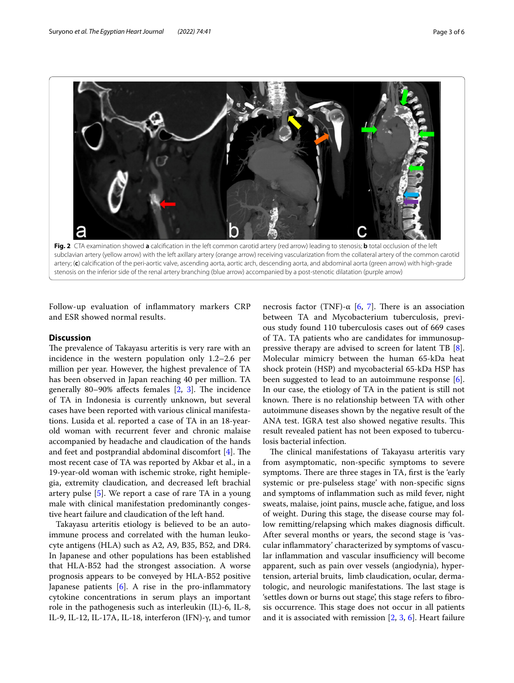

<span id="page-2-0"></span>**Fig. 2** CTA examination showed **a** calcifcation in the left common carotid artery (red arrow) leading to stenosis; **b** total occlusion of the left subclavian artery (yellow arrow) with the left axillary artery (orange arrow) receiving vascularization from the collateral artery of the common carotid artery; (**c**) calcifcation of the peri-aortic valve, ascending aorta, aortic arch, descending aorta, and abdominal aorta (green arrow) with high-grade stenosis on the inferior side of the renal artery branching (blue arrow) accompanied by a post-stenotic dilatation (purple arrow)

Follow-up evaluation of infammatory markers CRP and ESR showed normal results.

## **Discussion**

The prevalence of Takayasu arteritis is very rare with an incidence in the western population only 1.2–2.6 per million per year. However, the highest prevalence of TA has been observed in Japan reaching 40 per million. TA generally 80-90% affects females  $[2, 3]$  $[2, 3]$  $[2, 3]$  $[2, 3]$  $[2, 3]$ . The incidence of TA in Indonesia is currently unknown, but several cases have been reported with various clinical manifestations. Lusida et al. reported a case of TA in an 18-yearold woman with recurrent fever and chronic malaise accompanied by headache and claudication of the hands and feet and postprandial abdominal discomfort  $[4]$  $[4]$ . The most recent case of TA was reported by Akbar et al., in a 19-year-old woman with ischemic stroke, right hemiplegia, extremity claudication, and decreased left brachial artery pulse  $[5]$  $[5]$ . We report a case of rare TA in a young male with clinical manifestation predominantly congestive heart failure and claudication of the left hand.

Takayasu arteritis etiology is believed to be an autoimmune process and correlated with the human leukocyte antigens (HLA) such as A2, A9, B35, B52, and DR4. In Japanese and other populations has been established that HLA-B52 had the strongest association. A worse prognosis appears to be conveyed by HLA-B52 positive Japanese patients  $[6]$  $[6]$ . A rise in the pro-inflammatory cytokine concentrations in serum plays an important role in the pathogenesis such as interleukin (IL)-6, IL-8, IL-9, IL-12, IL-17A, IL-18, interferon (IFN)-γ, and tumor necrosis factor (TNF)-α [[6,](#page-4-5) [7](#page-4-6)]. There is an association between TA and Mycobacterium tuberculosis, previous study found 110 tuberculosis cases out of 669 cases of TA. TA patients who are candidates for immunosuppressive therapy are advised to screen for latent TB [\[8](#page-4-7)]. Molecular mimicry between the human 65-kDa heat shock protein (HSP) and mycobacterial 65-kDa HSP has been suggested to lead to an autoimmune response  $[6]$  $[6]$ . In our case, the etiology of TA in the patient is still not known. There is no relationship between TA with other autoimmune diseases shown by the negative result of the ANA test. IGRA test also showed negative results. This result revealed patient has not been exposed to tuberculosis bacterial infection.

The clinical manifestations of Takayasu arteritis vary from asymptomatic, non-specifc symptoms to severe symptoms. There are three stages in TA, first is the 'early systemic or pre-pulseless stage' with non-specifc signs and symptoms of infammation such as mild fever, night sweats, malaise, joint pains, muscle ache, fatigue, and loss of weight. During this stage, the disease course may follow remitting/relapsing which makes diagnosis difficult. After several months or years, the second stage is 'vascular infammatory' characterized by symptoms of vascular inflammation and vascular insufficiency will become apparent, such as pain over vessels (angiodynia), hypertension, arterial bruits, limb claudication, ocular, dermatologic, and neurologic manifestations. The last stage is 'settles down or burns out stage', this stage refers to fbrosis occurrence. This stage does not occur in all patients and it is associated with remission [[2,](#page-4-1) [3,](#page-4-2) [6\]](#page-4-5). Heart failure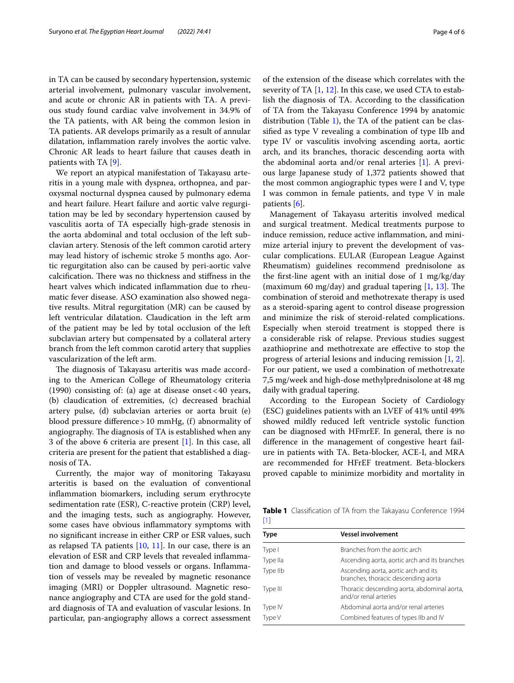in TA can be caused by secondary hypertension, systemic arterial involvement, pulmonary vascular involvement, and acute or chronic AR in patients with TA. A previous study found cardiac valve involvement in 34.9% of the TA patients, with AR being the common lesion in TA patients. AR develops primarily as a result of annular dilatation, infammation rarely involves the aortic valve. Chronic AR leads to heart failure that causes death in patients with TA [\[9](#page-4-8)].

We report an atypical manifestation of Takayasu arteritis in a young male with dyspnea, orthopnea, and paroxysmal nocturnal dyspnea caused by pulmonary edema and heart failure. Heart failure and aortic valve regurgitation may be led by secondary hypertension caused by vasculitis aorta of TA especially high-grade stenosis in the aorta abdominal and total occlusion of the left subclavian artery. Stenosis of the left common carotid artery may lead history of ischemic stroke 5 months ago. Aortic regurgitation also can be caused by peri-aortic valve calcification. There was no thickness and stiffness in the heart valves which indicated infammation due to rheumatic fever disease. ASO examination also showed negative results. Mitral regurgitation (MR) can be caused by left ventricular dilatation. Claudication in the left arm of the patient may be led by total occlusion of the left subclavian artery but compensated by a collateral artery branch from the left common carotid artery that supplies vascularization of the left arm.

The diagnosis of Takayasu arteritis was made according to the American College of Rheumatology criteria (1990) consisting of: (a) age at disease onset <40 years, (b) claudication of extremities, (c) decreased brachial artery pulse, (d) subclavian arteries or aorta bruit (e) blood pressure diference>10 mmHg, (f) abnormality of angiography. The diagnosis of TA is established when any 3 of the above 6 criteria are present [[1\]](#page-4-0). In this case, all criteria are present for the patient that established a diagnosis of TA.

Currently, the major way of monitoring Takayasu arteritis is based on the evaluation of conventional infammation biomarkers, including serum erythrocyte sedimentation rate (ESR), C-reactive protein (CRP) level, and the imaging tests, such as angiography. However, some cases have obvious infammatory symptoms with no signifcant increase in either CRP or ESR values, such as relapsed TA patients  $[10, 11]$  $[10, 11]$  $[10, 11]$  $[10, 11]$ . In our case, there is an elevation of ESR and CRP levels that revealed infammation and damage to blood vessels or organs. Infammation of vessels may be revealed by magnetic resonance imaging (MRI) or Doppler ultrasound. Magnetic resonance angiography and CTA are used for the gold standard diagnosis of TA and evaluation of vascular lesions. In particular, pan-angiography allows a correct assessment of the extension of the disease which correlates with the severity of TA [[1,](#page-4-0) [12](#page-5-0)]. In this case, we used CTA to establish the diagnosis of TA. According to the classifcation of TA from the Takayasu Conference 1994 by anatomic distribution (Table [1\)](#page-3-0), the TA of the patient can be classifed as type V revealing a combination of type IIb and type IV or vasculitis involving ascending aorta, aortic arch, and its branches, thoracic descending aorta with the abdominal aorta and/or renal arteries [[1\]](#page-4-0). A previous large Japanese study of 1,372 patients showed that the most common angiographic types were I and V, type I was common in female patients, and type V in male patients [[6\]](#page-4-5).

Management of Takayasu arteritis involved medical and surgical treatment. Medical treatments purpose to induce remission, reduce active infammation, and minimize arterial injury to prevent the development of vascular complications. EULAR (European League Against Rheumatism) guidelines recommend prednisolone as the frst-line agent with an initial dose of 1 mg/kg/day (maximum 60 mg/day) and gradual tapering  $[1, 13]$  $[1, 13]$  $[1, 13]$  $[1, 13]$ . The combination of steroid and methotrexate therapy is used as a steroid-sparing agent to control disease progression and minimize the risk of steroid-related complications. Especially when steroid treatment is stopped there is a considerable risk of relapse. Previous studies suggest azathioprine and methotrexate are efective to stop the progress of arterial lesions and inducing remission [\[1](#page-4-0), [2](#page-4-1)]. For our patient, we used a combination of methotrexate 7,5 mg/week and high-dose methylprednisolone at 48 mg daily with gradual tapering.

According to the European Society of Cardiology (ESC) guidelines patients with an LVEF of 41% until 49% showed mildly reduced left ventricle systolic function can be diagnosed with HFmrEF. In general, there is no diference in the management of congestive heart failure in patients with TA. Beta-blocker, ACE-I, and MRA are recommended for HFrEF treatment. Beta-blockers proved capable to minimize morbidity and mortality in

<span id="page-3-0"></span>**Table 1** Classifcation of TA from the Takayasu Conference 1994 [\[1\]](#page-4-0)

| Type     | <b>Vessel involvement</b>                                                   |
|----------|-----------------------------------------------------------------------------|
| Type I   | Branches from the aortic arch                                               |
| Type Ila | Ascending aorta, aortic arch and its branches                               |
| Type IIb | Ascending aorta, aortic arch and its<br>branches, thoracic descending aorta |
| Type III | Thoracic descending aorta, abdominal aorta,<br>and/or renal arteries        |
| Type IV  | Abdominal aorta and/or renal arteries                                       |
| Type V   | Combined features of types IIb and IV                                       |
|          |                                                                             |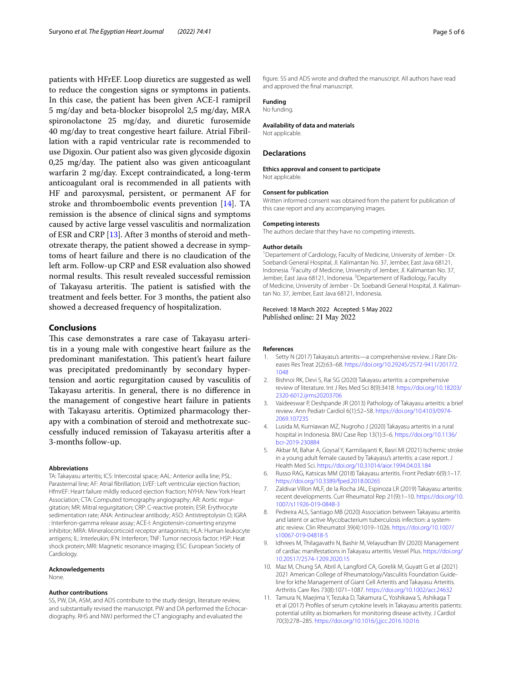patients with HFrEF. Loop diuretics are suggested as well to reduce the congestion signs or symptoms in patients. In this case, the patient has been given ACE-I ramipril 5 mg/day and beta-blocker bisoprolol 2,5 mg/day, MRA spironolactone 25 mg/day, and diuretic furosemide 40 mg/day to treat congestive heart failure. Atrial Fibrillation with a rapid ventricular rate is recommended to use Digoxin. Our patient also was given glycoside digoxin  $0.25$  mg/day. The patient also was given anticoagulant warfarin 2 mg/day. Except contraindicated, a long-term anticoagulant oral is recommended in all patients with HF and paroxysmal, persistent, or permanent AF for stroke and thromboembolic events prevention [[14\]](#page-5-2). TA remission is the absence of clinical signs and symptoms caused by active large vessel vasculitis and normalization of ESR and CRP [[13\]](#page-5-1). After 3 months of steroid and methotrexate therapy, the patient showed a decrease in symptoms of heart failure and there is no claudication of the left arm. Follow-up CRP and ESR evaluation also showed normal results. This result revealed successful remission of Takayasu arteritis. The patient is satisfied with the treatment and feels better. For 3 months, the patient also showed a decreased frequency of hospitalization.

## **Conclusions**

This case demonstrates a rare case of Takayasu arteritis in a young male with congestive heart failure as the predominant manifestation. This patient's heart failure was precipitated predominantly by secondary hypertension and aortic regurgitation caused by vasculitis of Takayasu arteritis. In general, there is no diference in the management of congestive heart failure in patients with Takayasu arteritis. Optimized pharmacology therapy with a combination of steroid and methotrexate successfully induced remission of Takayasu arteritis after a 3-months follow-up.

#### **Abbreviations**

TA: Takayasu arteritis; ICS: Intercostal space; AAL: Anterior axilla line; PSL: Parasternal line; AF: Atrial fbrillation; LVEF: Left ventricular ejection fraction; HfmrEF: Heart failure mildly reduced ejection fraction; NYHA: New York Heart Association; CTA: Computed tomography angiography; AR: Aortic regurgitation; MR: Mitral regurgitation; CRP: C-reactive protein; ESR: Erythrocyte sedimentation rate; ANA: Antinuclear antibody; ASO: Antistreptolysin O; IGRA : Interferon-gamma release assay; ACE-I: Angiotensin-converting enzyme inhibitor; MRA: Mineralocorticoid receptor antagonists; HLA: Human leukocyte antigens; IL: Interleukin; IFN: Interferon; TNF: Tumor necrosis factor; HSP: Heat shock protein; MRI: Magnetic resonance imaging; ESC: European Society of Cardiology.

## **Acknowledgements**

None.

## **Author contributions**

SS, PW, DA, ASM, and ADS contribute to the study design, literature review, and substantially revised the manuscript. PW and DA performed the Echocardiography. RHS and NWJ performed the CT angiography and evaluated the

fgure. SS and ADS wrote and drafted the manuscript. All authors have read and approved the fnal manuscript.

## **Funding**

No funding.

#### **Availability of data and materials**

Not applicable.

### **Declarations**

**Ethics approval and consent to participate** Not applicable.

#### **Consent for publication**

Written informed consent was obtained from the patient for publication of this case report and any accompanying images.

#### **Competing interests**

The authors declare that they have no competing interests.

#### **Author details**

<sup>1</sup> Departement of Cardiology, Faculty of Medicine, University of Jember - Dr. Soebandi General Hospital, Jl. Kalimantan No. 37, Jember, East Java 68121, Indonesia. <sup>2</sup> Faculty of Medicine, University of Jember, Jl. Kalimantan No. 37, Jember, East Java 68121, Indonesia. <sup>3</sup> Departement of Radiology, Faculty of Medicine, University of Jember - Dr. Soebandi General Hospital, Jl. Kalimantan No. 37, Jember, East Java 68121, Indonesia.

#### Received: 18 March 2022 Accepted: 5 May 2022 Published online: 21 May 2022

#### **References**

- <span id="page-4-0"></span>1. Setty N (2017) Takayasu's arteritis—a comprehensive review. J Rare Diseases Res Treat 2(2):63–68. [https://doi.org/10.29245/2572-9411/2017/2.](https://doi.org/10.29245/2572-9411/2017/2.1048) [1048](https://doi.org/10.29245/2572-9411/2017/2.1048)
- <span id="page-4-1"></span>2. Bishnoi RK, Devi S, Rai SG (2020) Takayasu arteritis: a comprehensive review of literature. Int J Res Med Sci 8(9):3418. [https://doi.org/10.18203/](https://doi.org/10.18203/2320-6012.ijrms20203706) [2320-6012.ijrms20203706](https://doi.org/10.18203/2320-6012.ijrms20203706)
- <span id="page-4-2"></span>3. Vaideeswar P, Deshpande JR (2013) Pathology of Takayasu arteritis: a brief review. Ann Pediatr Cardiol 6(1):52–58. [https://doi.org/10.4103/0974-](https://doi.org/10.4103/0974-2069.107235) [2069.107235](https://doi.org/10.4103/0974-2069.107235)
- <span id="page-4-3"></span>4. Lusida M, Kurniawan MZ, Nugroho J (2020) Takayasu arteritis in a rural hospital in Indonesia. BMJ Case Rep 13(1):3–6. [https://doi.org/10.1136/](https://doi.org/10.1136/bcr-2019-230884) [bcr-2019-230884](https://doi.org/10.1136/bcr-2019-230884)
- <span id="page-4-4"></span>5. Akbar M, Bahar A, Goysal Y, Karmilayanti K, Basri MI (2021) Ischemic stroke in a young adult female caused by Takayasu's arteritis: a case report. J Health Med Sci. <https://doi.org/10.31014/aior.1994.04.03.184>
- <span id="page-4-5"></span>6. Russo RAG, Katsicas MM (2018) Takayasu arteritis. Front Pediatr 6(9):1–17. <https://doi.org/10.3389/fped.2018.00265>
- <span id="page-4-6"></span>7. Zaldivar Villon MLF, de la Rocha JAL, Espinoza LR (2019) Takayasu arteritis: recent developments. Curr Rheumatol Rep 21(9):1–10. [https://doi.org/10.](https://doi.org/10.1007/s11926-019-0848-3) [1007/s11926-019-0848-3](https://doi.org/10.1007/s11926-019-0848-3)
- <span id="page-4-7"></span>8. Pedreira ALS, Santiago MB (2020) Association between Takayasu arteritis and latent or active Mycobacterium tuberculosis infection: a systematic review. Clin Rheumatol 39(4):1019–1026. [https://doi.org/10.1007/](https://doi.org/10.1007/s10067-019-04818-5) [s10067-019-04818-5](https://doi.org/10.1007/s10067-019-04818-5)
- <span id="page-4-8"></span>9. Idhrees M, Thilagavathi N, Bashir M, Velayudhan BV (2020) Management of cardiac manifestations in Takayasu arteritis. Vessel Plus. [https://doi.org/](https://doi.org/10.20517/2574-1209.2020.15) [10.20517/2574-1209.2020.15](https://doi.org/10.20517/2574-1209.2020.15)
- <span id="page-4-9"></span>10. Maz M, Chung SA, Abril A, Langford CA, Gorelik M, Guyatt G et al (2021) 2021 American College of Rheumatology/Vasculitis Foundation Guideline for kthe Management of Giant Cell Arteritis and Takayasu Arteritis. Arthritis Care Res 73(8):1071–1087.<https://doi.org/10.1002/acr.24632>
- <span id="page-4-10"></span>11. Tamura N, Maejima Y, Tezuka D, Takamura C, Yoshikawa S, Ashikaga T et al (2017) Profles of serum cytokine levels in Takayasu arteritis patients: potential utility as biomarkers for monitoring disease activity. J Cardiol 70(3):278–285. <https://doi.org/10.1016/j.jjcc.2016.10.016>